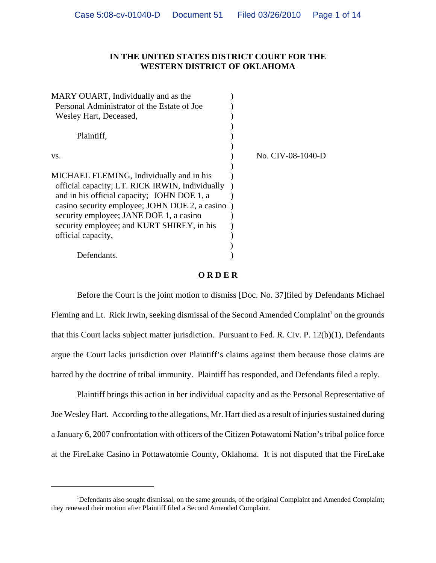# **IN THE UNITED STATES DISTRICT COURT FOR THE WESTERN DISTRICT OF OKLAHOMA**

| MARY OUART, Individually and as the              |                   |
|--------------------------------------------------|-------------------|
| Personal Administrator of the Estate of Joe      |                   |
| Wesley Hart, Deceased,                           |                   |
|                                                  |                   |
| Plaintiff,                                       |                   |
|                                                  |                   |
| VS.                                              | No. CIV-08-1040-D |
|                                                  |                   |
| MICHAEL FLEMING, Individually and in his         |                   |
| official capacity; LT. RICK IRWIN, Individually  |                   |
| and in his official capacity; JOHN DOE 1, a      |                   |
| casino security employee; JOHN DOE 2, a casino ) |                   |
| security employee; JANE DOE 1, a casino          |                   |
| security employee; and KURT SHIREY, in his       |                   |
| official capacity,                               |                   |
|                                                  |                   |
| Defendants.                                      |                   |
|                                                  |                   |

# **O R D E R**

Before the Court is the joint motion to dismiss [Doc. No. 37]filed by Defendants Michael Fleming and Lt. Rick Irwin, seeking dismissal of the Second Amended Complaint<sup>1</sup> on the grounds that this Court lacks subject matter jurisdiction. Pursuant to Fed. R. Civ. P. 12(b)(1), Defendants argue the Court lacks jurisdiction over Plaintiff's claims against them because those claims are barred by the doctrine of tribal immunity. Plaintiff has responded, and Defendants filed a reply.

Plaintiff brings this action in her individual capacity and as the Personal Representative of Joe Wesley Hart. According to the allegations, Mr. Hart died as a result of injuries sustained during a January 6, 2007 confrontation with officers of the Citizen Potawatomi Nation's tribal police force at the FireLake Casino in Pottawatomie County, Oklahoma. It is not disputed that the FireLake

<sup>&</sup>lt;sup>1</sup>Defendants also sought dismissal, on the same grounds, of the original Complaint and Amended Complaint; they renewed their motion after Plaintiff filed a Second Amended Complaint.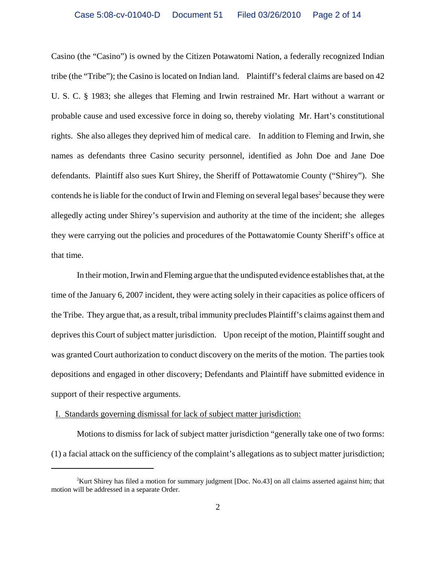Casino (the "Casino") is owned by the Citizen Potawatomi Nation, a federally recognized Indian tribe (the "Tribe"); the Casino is located on Indian land. Plaintiff's federal claims are based on 42 U. S. C. § 1983; she alleges that Fleming and Irwin restrained Mr. Hart without a warrant or probable cause and used excessive force in doing so, thereby violating Mr. Hart's constitutional rights. She also alleges they deprived him of medical care. In addition to Fleming and Irwin, she names as defendants three Casino security personnel, identified as John Doe and Jane Doe defendants. Plaintiff also sues Kurt Shirey, the Sheriff of Pottawatomie County ("Shirey"). She contends he is liable for the conduct of Irwin and Fleming on several legal bases<sup>2</sup> because they were allegedly acting under Shirey's supervision and authority at the time of the incident; she alleges they were carrying out the policies and procedures of the Pottawatomie County Sheriff's office at that time.

In their motion, Irwin and Fleming argue that the undisputed evidence establishes that, at the time of the January 6, 2007 incident, they were acting solely in their capacities as police officers of the Tribe. They argue that, as a result, tribal immunity precludes Plaintiff's claims against them and deprives this Court of subject matter jurisdiction. Upon receipt of the motion, Plaintiff sought and was granted Court authorization to conduct discovery on the merits of the motion. The parties took depositions and engaged in other discovery; Defendants and Plaintiff have submitted evidence in support of their respective arguments.

#### I. Standards governing dismissal for lack of subject matter jurisdiction:

Motions to dismiss for lack of subject matter jurisdiction "generally take one of two forms: (1) a facial attack on the sufficiency of the complaint's allegations as to subject matter jurisdiction;

<sup>&</sup>lt;sup>2</sup>Kurt Shirey has filed a motion for summary judgment [Doc. No.43] on all claims asserted against him; that motion will be addressed in a separate Order.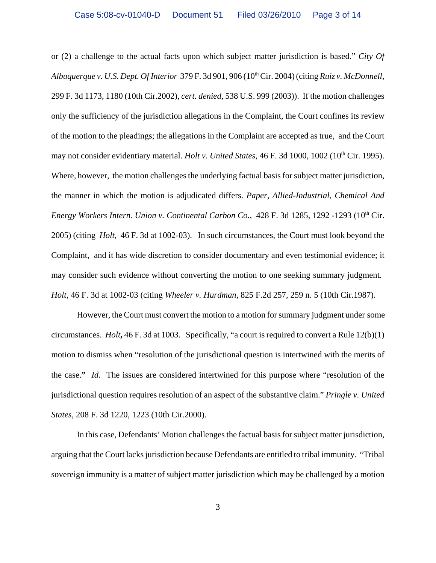or (2) a challenge to the actual facts upon which subject matter jurisdiction is based." *City Of Albuquerque v. U.S. Dept. Of Interior* 379 F. 3d 901, 906 (10th Cir. 2004) (citing *Ruiz v. McDonnell*, 299 F. 3d 1173, 1180 (10th Cir.2002), *cert. denied*, 538 U.S. 999 (2003)). If the motion challenges only the sufficiency of the jurisdiction allegations in the Complaint, the Court confines its review of the motion to the pleadings; the allegations in the Complaint are accepted as true, and the Court may not consider evidentiary material. *Holt v. United States*, 46 F. 3d 1000, 1002 (10<sup>th</sup> Cir. 1995). Where, however, the motion challenges the underlying factual basis for subject matter jurisdiction, the manner in which the motion is adjudicated differs. *Paper, Allied-Industrial, Chemical And Energy Workers Intern. Union v. Continental Carbon Co., 428 F. 3d 1285, 1292 -1293 (10<sup>th</sup> Cir.* 2005) (citing *Holt,* 46 F. 3d at 1002-03).In such circumstances, the Court must look beyond the Complaint, and it has wide discretion to consider documentary and even testimonial evidence; it may consider such evidence without converting the motion to one seeking summary judgment. *Holt*, 46 F. 3d at 1002-03 (citing *Wheeler v. Hurdman*, 825 F.2d 257, 259 n. 5 (10th Cir.1987).

 However, the Court must convert the motion to a motion for summary judgment under some circumstances. *Holt***,** 46 F. 3d at 1003. Specifically, "a court is required to convert a Rule 12(b)(1) motion to dismiss when "resolution of the jurisdictional question is intertwined with the merits of the case.**"** *Id.* The issues are considered intertwined for this purpose where "resolution of the jurisdictional question requires resolution of an aspect of the substantive claim." *Pringle v. United States*, 208 F. 3d 1220, 1223 (10th Cir.2000).

In this case, Defendants' Motion challenges the factual basis for subject matter jurisdiction, arguing that the Court lacks jurisdiction because Defendants are entitled to tribal immunity. "Tribal sovereign immunity is a matter of subject matter jurisdiction which may be challenged by a motion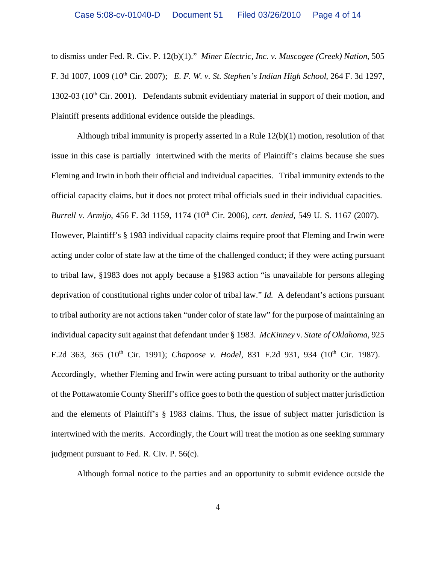to dismiss under Fed. R. Civ. P. 12(b)(1)." *Miner Electric, Inc. v. Muscogee (Creek) Nation*, 505 F. 3d 1007, 1009 (10th Cir. 2007); *E. F. W. v. St. Stephen's Indian High School*, 264 F. 3d 1297, 1302-03 ( $10<sup>th</sup>$  Cir. 2001). Defendants submit evidentiary material in support of their motion, and Plaintiff presents additional evidence outside the pleadings.

Although tribal immunity is properly asserted in a Rule 12(b)(1) motion, resolution of that issue in this case is partially intertwined with the merits of Plaintiff's claims because she sues Fleming and Irwin in both their official and individual capacities. Tribal immunity extends to the official capacity claims, but it does not protect tribal officials sued in their individual capacities. *Burrell v. Armijo*, 456 F. 3d 1159, 1174 (10th Cir. 2006), *cert. denied,* 549 U. S. 1167 (2007). However, Plaintiff's § 1983 individual capacity claims require proof that Fleming and Irwin were acting under color of state law at the time of the challenged conduct; if they were acting pursuant to tribal law, §1983 does not apply because a §1983 action "is unavailable for persons alleging deprivation of constitutional rights under color of tribal law." *Id.* A defendant's actions pursuant to tribal authority are not actions taken "under color of state law" for the purpose of maintaining an individual capacity suit against that defendant under § 1983. *McKinney v. State of Oklahoma*, 925 F.2d 363, 365 (10<sup>th</sup> Cir. 1991); *Chapoose v. Hodel*, 831 F.2d 931, 934 (10<sup>th</sup> Cir. 1987). Accordingly, whether Fleming and Irwin were acting pursuant to tribal authority or the authority of the Pottawatomie County Sheriff's office goes to both the question of subject matter jurisdiction and the elements of Plaintiff's § 1983 claims. Thus, the issue of subject matter jurisdiction is intertwined with the merits. Accordingly, the Court will treat the motion as one seeking summary judgment pursuant to Fed. R. Civ. P. 56(c).

Although formal notice to the parties and an opportunity to submit evidence outside the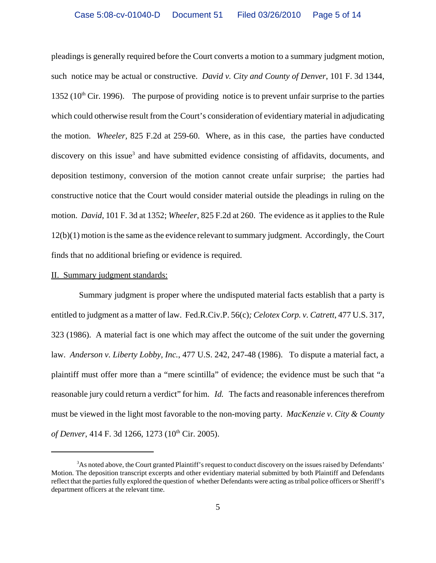pleadings is generally required before the Court converts a motion to a summary judgment motion, such notice may be actual or constructive. *David v. City and County of Denver*, 101 F. 3d 1344, 1352 ( $10<sup>th</sup>$  Cir. 1996). The purpose of providing notice is to prevent unfair surprise to the parties which could otherwise result from the Court's consideration of evidentiary material in adjudicating the motion. *Wheeler,* 825 F.2d at 259-60. Where, as in this case, the parties have conducted discovery on this issue<sup>3</sup> and have submitted evidence consisting of affidavits, documents, and deposition testimony, conversion of the motion cannot create unfair surprise; the parties had constructive notice that the Court would consider material outside the pleadings in ruling on the motion. *David*, 101 F. 3d at 1352; *Wheeler*, 825 F.2d at 260. The evidence as it applies to the Rule 12(b)(1) motion is the same as the evidence relevant to summary judgment. Accordingly, the Court finds that no additional briefing or evidence is required.

#### II. Summary judgment standards:

 Summary judgment is proper where the undisputed material facts establish that a party is entitled to judgment as a matter of law. Fed.R.Civ.P. 56(c)*; Celotex Corp. v. Catrett*, 477 U.S. 317, 323 (1986). A material fact is one which may affect the outcome of the suit under the governing law. *Anderson v. Liberty Lobby, Inc.*, 477 U.S. 242, 247-48 (1986). To dispute a material fact, a plaintiff must offer more than a "mere scintilla" of evidence; the evidence must be such that "a reasonable jury could return a verdict" for him. *Id.* The facts and reasonable inferences therefrom must be viewed in the light most favorable to the non-moving party. *MacKenzie v. City & County of Denver*, 414 F. 3d 1266, 1273 (10<sup>th</sup> Cir. 2005).

 $3$ As noted above, the Court granted Plaintiff's request to conduct discovery on the issues raised by Defendants' Motion. The deposition transcript excerpts and other evidentiary material submitted by both Plaintiff and Defendants reflect that the parties fully explored the question of whether Defendants were acting as tribal police officers or Sheriff's department officers at the relevant time.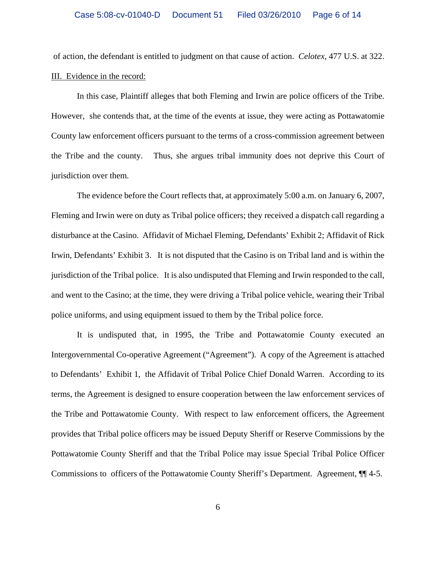of action, the defendant is entitled to judgment on that cause of action. *Celotex*, 477 U.S. at 322. III. Evidence in the record:

In this case, Plaintiff alleges that both Fleming and Irwin are police officers of the Tribe. However, she contends that, at the time of the events at issue, they were acting as Pottawatomie County law enforcement officers pursuant to the terms of a cross-commission agreement between the Tribe and the county. Thus, she argues tribal immunity does not deprive this Court of jurisdiction over them.

The evidence before the Court reflects that, at approximately 5:00 a.m. on January 6, 2007, Fleming and Irwin were on duty as Tribal police officers; they received a dispatch call regarding a disturbance at the Casino. Affidavit of Michael Fleming, Defendants' Exhibit 2; Affidavit of Rick Irwin, Defendants' Exhibit 3. It is not disputed that the Casino is on Tribal land and is within the jurisdiction of the Tribal police. It is also undisputed that Fleming and Irwin responded to the call, and went to the Casino; at the time, they were driving a Tribal police vehicle, wearing their Tribal police uniforms, and using equipment issued to them by the Tribal police force.

It is undisputed that, in 1995, the Tribe and Pottawatomie County executed an Intergovernmental Co-operative Agreement ("Agreement"). A copy of the Agreement is attached to Defendants' Exhibit 1, the Affidavit of Tribal Police Chief Donald Warren. According to its terms, the Agreement is designed to ensure cooperation between the law enforcement services of the Tribe and Pottawatomie County. With respect to law enforcement officers, the Agreement provides that Tribal police officers may be issued Deputy Sheriff or Reserve Commissions by the Pottawatomie County Sheriff and that the Tribal Police may issue Special Tribal Police Officer Commissions to officers of the Pottawatomie County Sheriff's Department. Agreement, ¶¶ 4-5.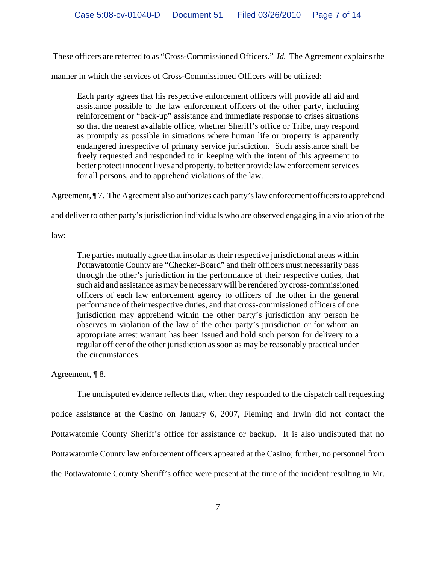These officers are referred to as "Cross-Commissioned Officers." *Id.* The Agreement explains the

manner in which the services of Cross-Commissioned Officers will be utilized:

Each party agrees that his respective enforcement officers will provide all aid and assistance possible to the law enforcement officers of the other party, including reinforcement or "back-up" assistance and immediate response to crises situations so that the nearest available office, whether Sheriff's office or Tribe, may respond as promptly as possible in situations where human life or property is apparently endangered irrespective of primary service jurisdiction. Such assistance shall be freely requested and responded to in keeping with the intent of this agreement to better protect innocent lives and property, to better provide law enforcement services for all persons, and to apprehend violations of the law.

Agreement,  $\P$  7. The Agreement also authorizes each party's law enforcement officers to apprehend

and deliver to other party's jurisdiction individuals who are observed engaging in a violation of the

law:

The parties mutually agree that insofar as their respective jurisdictional areas within Pottawatomie County are "Checker-Board" and their officers must necessarily pass through the other's jurisdiction in the performance of their respective duties, that such aid and assistance as may be necessary will be rendered by cross-commissioned officers of each law enforcement agency to officers of the other in the general performance of their respective duties, and that cross-commissioned officers of one jurisdiction may apprehend within the other party's jurisdiction any person he observes in violation of the law of the other party's jurisdiction or for whom an appropriate arrest warrant has been issued and hold such person for delivery to a regular officer of the other jurisdiction as soon as may be reasonably practical under the circumstances.

Agreement, ¶ 8.

The undisputed evidence reflects that, when they responded to the dispatch call requesting police assistance at the Casino on January 6, 2007, Fleming and Irwin did not contact the Pottawatomie County Sheriff's office for assistance or backup. It is also undisputed that no Pottawatomie County law enforcement officers appeared at the Casino; further, no personnel from the Pottawatomie County Sheriff's office were present at the time of the incident resulting in Mr.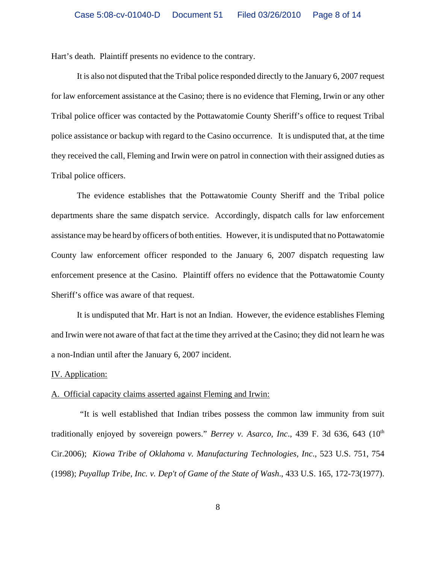Hart's death. Plaintiff presents no evidence to the contrary.

It is also not disputed that the Tribal police responded directly to the January 6, 2007 request for law enforcement assistance at the Casino; there is no evidence that Fleming, Irwin or any other Tribal police officer was contacted by the Pottawatomie County Sheriff's office to request Tribal police assistance or backup with regard to the Casino occurrence. It is undisputed that, at the time they received the call, Fleming and Irwin were on patrol in connection with their assigned duties as Tribal police officers.

The evidence establishes that the Pottawatomie County Sheriff and the Tribal police departments share the same dispatch service. Accordingly, dispatch calls for law enforcement assistance may be heard by officers of both entities. However, it is undisputed that no Pottawatomie County law enforcement officer responded to the January 6, 2007 dispatch requesting law enforcement presence at the Casino. Plaintiff offers no evidence that the Pottawatomie County Sheriff's office was aware of that request.

It is undisputed that Mr. Hart is not an Indian. However, the evidence establishes Fleming and Irwin were not aware of that fact at the time they arrived at the Casino; they did not learn he was a non-Indian until after the January 6, 2007 incident.

### IV. Application:

## A. Official capacity claims asserted against Fleming and Irwin:

 "It is well established that Indian tribes possess the common law immunity from suit traditionally enjoyed by sovereign powers." *Berrey v. Asarco, Inc.*, 439 F. 3d 636, 643 (10<sup>th</sup> Cir.2006); *Kiowa Tribe of Oklahoma v. Manufacturing Technologies, Inc*., 523 U.S. 751, 754 (1998); *Puyallup Tribe, Inc. v. Dep't of Game of the State of Wash*., 433 U.S. 165, 172-73(1977).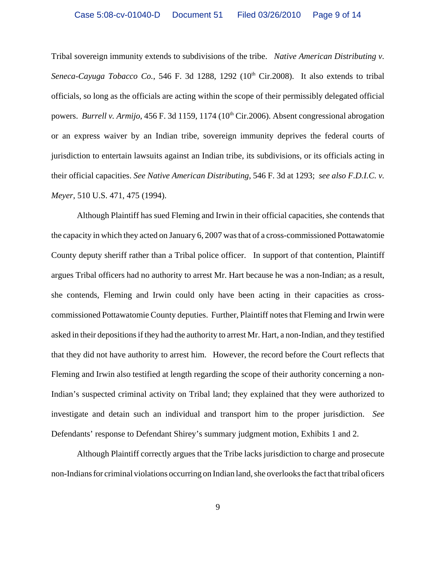Tribal sovereign immunity extends to subdivisions of the tribe. *Native American Distributing v.* Seneca-Cayuga Tobacco Co., 546 F. 3d 1288, 1292  $(10<sup>th</sup> Cir.2008)$ . It also extends to tribal officials, so long as the officials are acting within the scope of their permissibly delegated official powers. *Burrell v. Armijo*, 456 F. 3d 1159, 1174 (10<sup>th</sup> Cir.2006). Absent congressional abrogation or an express waiver by an Indian tribe, sovereign immunity deprives the federal courts of jurisdiction to entertain lawsuits against an Indian tribe, its subdivisions, or its officials acting in their official capacities. *See Native American Distributing*, 546 F. 3d at 1293; *see also F.D.I.C. v. Meyer*, 510 U.S. 471, 475 (1994).

Although Plaintiff has sued Fleming and Irwin in their official capacities, she contends that the capacity in which they acted on January 6, 2007 was that of a cross-commissioned Pottawatomie County deputy sheriff rather than a Tribal police officer. In support of that contention, Plaintiff argues Tribal officers had no authority to arrest Mr. Hart because he was a non-Indian; as a result, she contends, Fleming and Irwin could only have been acting in their capacities as crosscommissioned Pottawatomie County deputies. Further, Plaintiff notes that Fleming and Irwin were asked in their depositions if they had the authority to arrest Mr. Hart, a non-Indian, and they testified that they did not have authority to arrest him. However, the record before the Court reflects that Fleming and Irwin also testified at length regarding the scope of their authority concerning a non-Indian's suspected criminal activity on Tribal land; they explained that they were authorized to investigate and detain such an individual and transport him to the proper jurisdiction. *See* Defendants' response to Defendant Shirey's summary judgment motion, Exhibits 1 and 2.

Although Plaintiff correctly argues that the Tribe lacks jurisdiction to charge and prosecute non-Indians for criminal violations occurring on Indian land, she overlooks the fact that tribal oficers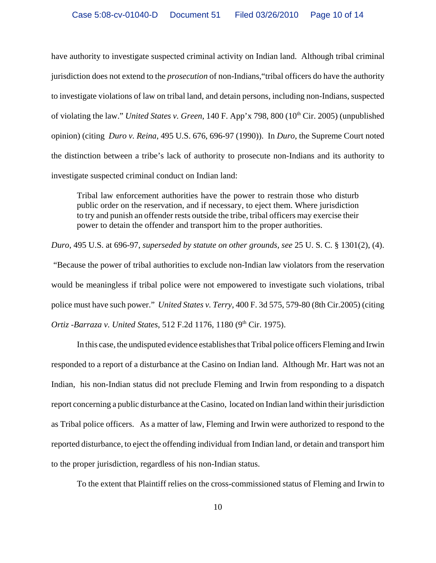have authority to investigate suspected criminal activity on Indian land. Although tribal criminal jurisdiction does not extend to the *prosecution* of non-Indians,"tribal officers do have the authority to investigate violations of law on tribal land, and detain persons, including non-Indians, suspected of violating the law." *United States v. Green*, 140 F. App'x 798, 800 (10<sup>th</sup> Cir. 2005) (unpublished opinion) (citing *Duro v. Reina*, 495 U.S. 676, 696-97 (1990)). In *Duro*, the Supreme Court noted the distinction between a tribe's lack of authority to prosecute non-Indians and its authority to investigate suspected criminal conduct on Indian land:

Tribal law enforcement authorities have the power to restrain those who disturb public order on the reservation, and if necessary, to eject them. Where jurisdiction to try and punish an offender rests outside the tribe, tribal officers may exercise their power to detain the offender and transport him to the proper authorities.

*Duro*, 495 U.S. at 696-97, *superseded by statute on other grounds, see* 25 U. S. C. § 1301(2), (4). "Because the power of tribal authorities to exclude non-Indian law violators from the reservation would be meaningless if tribal police were not empowered to investigate such violations, tribal police must have such power." *United States v. Terry*, 400 F. 3d 575, 579-80 (8th Cir.2005) (citing

*Ortiz -Barraza v. United States,* 512 F.2d 1176, 1180 (9<sup>th</sup> Cir. 1975).

In this case, the undisputed evidence establishes that Tribal police officers Fleming and Irwin responded to a report of a disturbance at the Casino on Indian land. Although Mr. Hart was not an Indian, his non-Indian status did not preclude Fleming and Irwin from responding to a dispatch report concerning a public disturbance at the Casino, located on Indian land within their jurisdiction as Tribal police officers. As a matter of law, Fleming and Irwin were authorized to respond to the reported disturbance, to eject the offending individual from Indian land, or detain and transport him to the proper jurisdiction, regardless of his non-Indian status.

To the extent that Plaintiff relies on the cross-commissioned status of Fleming and Irwin to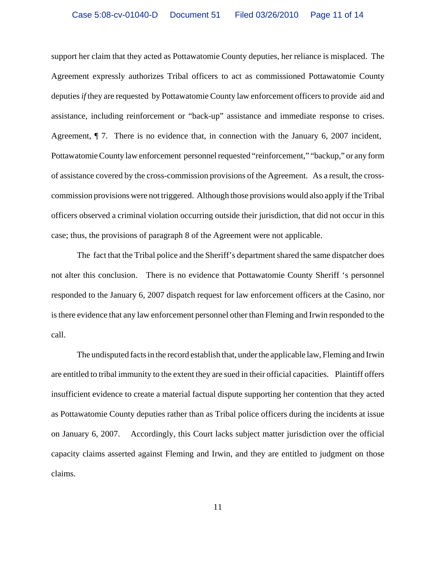support her claim that they acted as Pottawatomie County deputies, her reliance is misplaced. The Agreement expressly authorizes Tribal officers to act as commissioned Pottawatomie County deputies *if* they are requested by Pottawatomie County law enforcement officers to provide aid and assistance, including reinforcement or "back-up" assistance and immediate response to crises. Agreement, ¶ 7. There is no evidence that, in connection with the January 6, 2007 incident, Pottawatomie County law enforcement personnel requested "reinforcement," "backup," or any form of assistance covered by the cross-commission provisions of the Agreement. As a result, the crosscommission provisions were not triggered. Although those provisions would also apply if the Tribal officers observed a criminal violation occurring outside their jurisdiction, that did not occur in this case; thus, the provisions of paragraph 8 of the Agreement were not applicable.

The fact that the Tribal police and the Sheriff's department shared the same dispatcher does not alter this conclusion. There is no evidence that Pottawatomie County Sheriff 's personnel responded to the January 6, 2007 dispatch request for law enforcement officers at the Casino, nor is there evidence that any law enforcement personnel other than Fleming and Irwin responded to the call.

The undisputed facts in the record establish that, under the applicable law, Fleming and Irwin are entitled to tribal immunity to the extent they are sued in their official capacities. Plaintiff offers insufficient evidence to create a material factual dispute supporting her contention that they acted as Pottawatomie County deputies rather than as Tribal police officers during the incidents at issue on January 6, 2007. Accordingly, this Court lacks subject matter jurisdiction over the official capacity claims asserted against Fleming and Irwin, and they are entitled to judgment on those claims.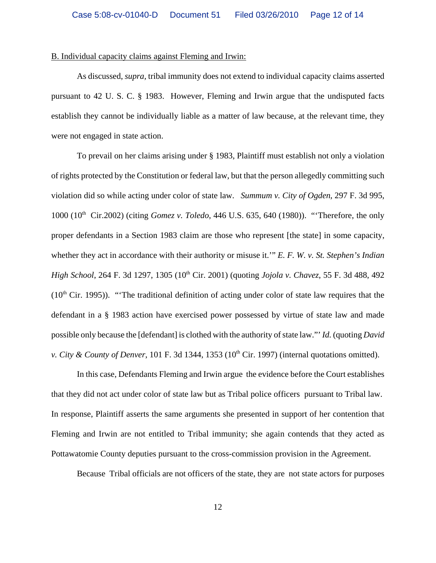#### B. Individual capacity claims against Fleming and Irwin:

As discussed, *supra,* tribal immunity does not extend to individual capacity claims asserted pursuant to 42 U. S. C. § 1983. However, Fleming and Irwin argue that the undisputed facts establish they cannot be individually liable as a matter of law because, at the relevant time, they were not engaged in state action.

To prevail on her claims arising under § 1983, Plaintiff must establish not only a violation of rights protected by the Constitution or federal law, but that the person allegedly committing such violation did so while acting under color of state law. *Summum v. City of Ogden*, 297 F. 3d 995, 1000 (10th Cir.2002) (citing *Gomez v. Toledo*, 446 U.S. 635, 640 (1980)). "'Therefore, the only proper defendants in a Section 1983 claim are those who represent [the state] in some capacity, whether they act in accordance with their authority or misuse it.'" *E. F. W. v. St. Stephen's Indian High School*, 264 F. 3d 1297, 1305 (10<sup>th</sup> Cir. 2001) (quoting *Jojola v. Chavez*, 55 F. 3d 488, 492  $(10<sup>th</sup> Cir. 1995)$ . "The traditional definition of acting under color of state law requires that the defendant in a § 1983 action have exercised power possessed by virtue of state law and made possible only because the [defendant] is clothed with the authority of state law."' *Id.* (quoting *David v. City & County of Denver*, 101 F. 3d 1344, 1353 (10<sup>th</sup> Cir. 1997) (internal quotations omitted).

In this case, Defendants Fleming and Irwin argue the evidence before the Court establishes that they did not act under color of state law but as Tribal police officers pursuant to Tribal law. In response, Plaintiff asserts the same arguments she presented in support of her contention that Fleming and Irwin are not entitled to Tribal immunity; she again contends that they acted as Pottawatomie County deputies pursuant to the cross-commission provision in the Agreement.

Because Tribal officials are not officers of the state, they are not state actors for purposes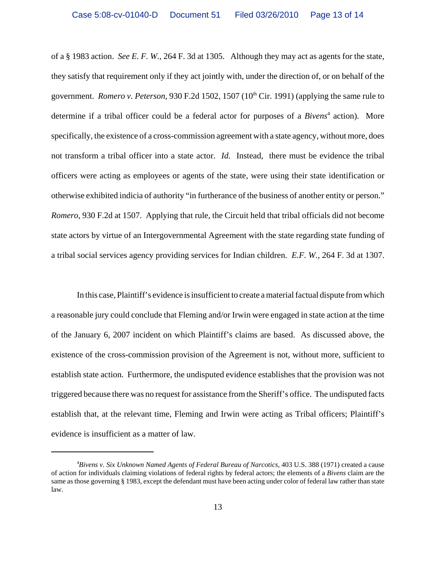of a § 1983 action. *See E. F. W.,* 264 F. 3d at 1305. Although they may act as agents for the state, they satisfy that requirement only if they act jointly with, under the direction of, or on behalf of the government. *Romero v. Peterson*, 930 F.2d 1502, 1507 (10<sup>th</sup> Cir. 1991) (applying the same rule to determine if a tribal officer could be a federal actor for purposes of a *Bivens*<sup>4</sup> action). More specifically, the existence of a cross-commission agreement with a state agency, without more, does not transform a tribal officer into a state actor. *Id.* Instead, there must be evidence the tribal officers were acting as employees or agents of the state, were using their state identification or otherwise exhibited indicia of authority "in furtherance of the business of another entity or person." *Romero*, 930 F.2d at 1507. Applying that rule, the Circuit held that tribal officials did not become state actors by virtue of an Intergovernmental Agreement with the state regarding state funding of a tribal social services agency providing services for Indian children. *E.F. W.,* 264 F. 3d at 1307.

In this case, Plaintiff's evidence is insufficient to create a material factual dispute from which a reasonable jury could conclude that Fleming and/or Irwin were engaged in state action at the time of the January 6, 2007 incident on which Plaintiff's claims are based. As discussed above, the existence of the cross-commission provision of the Agreement is not, without more, sufficient to establish state action. Furthermore, the undisputed evidence establishes that the provision was not triggered because there was no request for assistance from the Sheriff's office. The undisputed facts establish that, at the relevant time, Fleming and Irwin were acting as Tribal officers; Plaintiff's evidence is insufficient as a matter of law.

<sup>4</sup> *Bivens v. Six Unknown Named Agents of Federal Bureau of Narcotics*, 403 U.S. 388 (1971) created a cause of action for individuals claiming violations of federal rights by federal actors; the elements of a *Bivens* claim are the same as those governing § 1983, except the defendant must have been acting under color of federal law rather than state law.